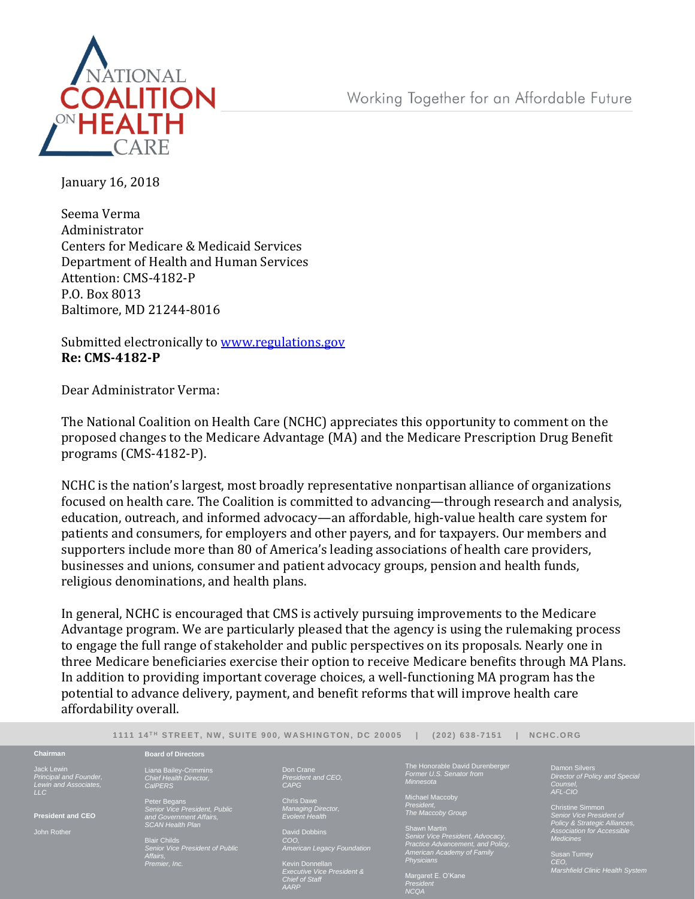Working Together for an Affordable Future



January 16, 2018

Seema Verma Administrator Centers for Medicare & Medicaid Services Department of Health and Human Services Attention: CMS-4182-P P.O. Box 8013 Baltimore, MD 21244-8016

Submitted electronically to [www.regulations.gov](http://www.regulations.gov/) **Re: CMS-4182-P**

Dear Administrator Verma:

The National Coalition on Health Care (NCHC) appreciates this opportunity to comment on the proposed changes to the Medicare Advantage (MA) and the Medicare Prescription Drug Benefit programs (CMS-4182-P).

NCHC is the nation's largest, most broadly representative nonpartisan alliance of organizations focused on health care. The Coalition is committed to advancing—through research and analysis, education, outreach, and informed advocacy—an affordable, high-value health care system for patients and consumers, for employers and other payers, and for taxpayers. Our members and supporters include more than 80 of America's leading associations of health care providers, businesses and unions, consumer and patient advocacy groups, pension and health funds, religious denominations, and health plans.

In general, NCHC is encouraged that CMS is actively pursuing improvements to the Medicare Advantage program. We are particularly pleased that the agency is using the rulemaking process to engage the full range of stakeholder and public perspectives on its proposals. Nearly one in three Medicare beneficiaries exercise their option to receive Medicare benefits through MA Plans. In addition to providing important coverage choices, a well-functioning MA program has the potential to advance delivery, payment, and benefit reforms that will improve health care affordability overall.

|                                                               | 1111 14 <sup>TH</sup> STREET. NW. SUITE 900. WASHINGTON. DC 20005                                                                                                                          |                                                                                                  | $(202)$ 638-7151                                                                                                                                                                                                                                                                                                    | NCHC.ORG                                                                      |
|---------------------------------------------------------------|--------------------------------------------------------------------------------------------------------------------------------------------------------------------------------------------|--------------------------------------------------------------------------------------------------|---------------------------------------------------------------------------------------------------------------------------------------------------------------------------------------------------------------------------------------------------------------------------------------------------------------------|-------------------------------------------------------------------------------|
| Chairman                                                      | <b>Board of Directors</b>                                                                                                                                                                  |                                                                                                  |                                                                                                                                                                                                                                                                                                                     |                                                                               |
| Jack Lewin<br>Principal and Founder.<br>Lewin and Associates, | Liana Bailey-Crimmins<br>Chief Health Director,<br><b>CalPERS</b>                                                                                                                          | Don Crane<br>President and CEO.<br><b>CAPG</b>                                                   | The Honorable David Durenberger<br>Former U.S. Senator from<br>Minnesota                                                                                                                                                                                                                                            | <b>Damon Silvers</b><br>Director of Policy and Special<br>Counsel.<br>AFL-CIO |
| LLC<br><b>President and CEO</b>                               | Peter Begans<br>Senior Vice President, Public<br>and Government Affairs.<br><b>SCAN Health Plan</b><br><b>Blair Childs</b><br>Senior Vice President of Public<br>Affairs.<br>Premier, Inc. | <b>Chris Dawe</b><br><b>Managing Director,</b><br><b>Evolent Health</b>                          | Michael Maccoby<br>President.<br><b>Christine Simmon</b><br>The Maccoby Group<br>Senior Vice President of<br>Policy & Strategic Alliances,<br>Shawn Martin<br>Association for Accessible<br>Senior Vice President, Advocacy,<br><b>Medicines</b><br>Practice Advancement, and Policy,<br>American Academy of Family |                                                                               |
| John Rother                                                   |                                                                                                                                                                                            | <b>David Dobbins</b><br>COO.<br><b>American Legacy Foundation</b>                                |                                                                                                                                                                                                                                                                                                                     |                                                                               |
|                                                               |                                                                                                                                                                                            | Kevin Donnellan<br><b>Executive Vice President &amp;</b><br><b>Chief of Staff</b><br><b>AARP</b> | <b>Physicians</b><br>Margaret E. O'Kane<br>President<br>$\sqrt{2}$                                                                                                                                                                                                                                                  | <b>Susan Turney</b><br>CEO.<br><b>Marshfield Clinic Health System</b>         |

*NCQA*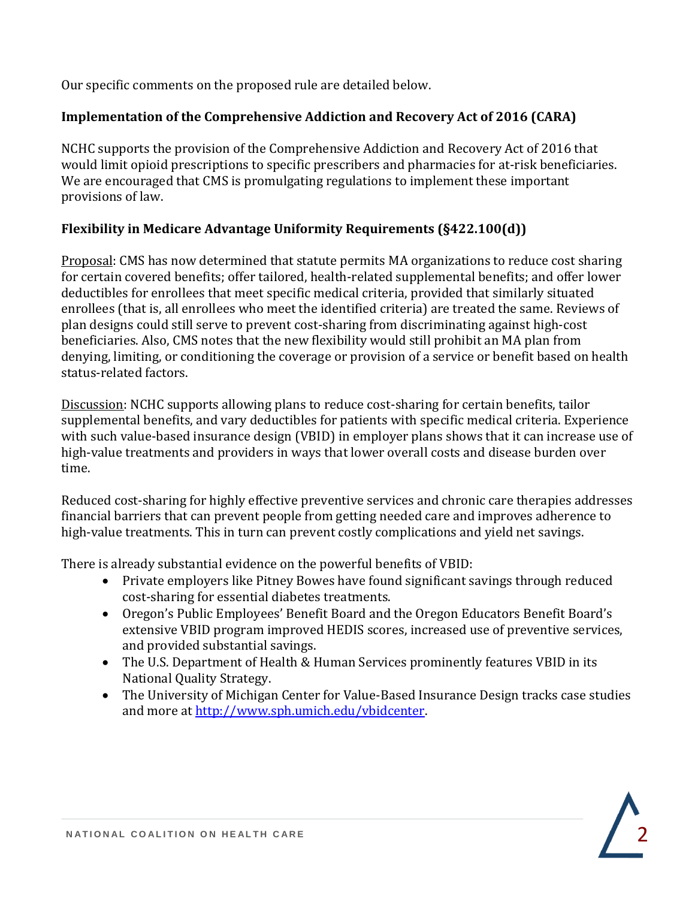Our specific comments on the proposed rule are detailed below.

## **Implementation of the Comprehensive Addiction and Recovery Act of 2016 (CARA)**

NCHC supports the provision of the Comprehensive Addiction and Recovery Act of 2016 that would limit opioid prescriptions to specific prescribers and pharmacies for at-risk beneficiaries. We are encouraged that CMS is promulgating regulations to implement these important provisions of law.

## **Flexibility in Medicare Advantage Uniformity Requirements (§422.100(d))**

Proposal: CMS has now determined that statute permits MA organizations to reduce cost sharing for certain covered benefits; offer tailored, health-related supplemental benefits; and offer lower deductibles for enrollees that meet specific medical criteria, provided that similarly situated enrollees (that is, all enrollees who meet the identified criteria) are treated the same. Reviews of plan designs could still serve to prevent cost-sharing from discriminating against high-cost beneficiaries. Also, CMS notes that the new flexibility would still prohibit an MA plan from denying, limiting, or conditioning the coverage or provision of a service or benefit based on health status-related factors.

Discussion: NCHC supports allowing plans to reduce cost-sharing for certain benefits, tailor supplemental benefits, and vary deductibles for patients with specific medical criteria. Experience with such value-based insurance design (VBID) in employer plans shows that it can increase use of high-value treatments and providers in ways that lower overall costs and disease burden over time.

Reduced cost-sharing for highly effective preventive services and chronic care therapies addresses financial barriers that can prevent people from getting needed care and improves adherence to high-value treatments. This in turn can prevent costly complications and yield net savings.

There is already substantial evidence on the powerful benefits of VBID:

- Private employers like Pitney Bowes have found significant savings through reduced cost-sharing for essential diabetes treatments.
- Oregon's Public Employees' Benefit Board and the Oregon Educators Benefit Board's extensive VBID program improved HEDIS scores, increased use of preventive services, and provided substantial savings.
- The U.S. Department of Health & Human Services prominently features VBID in its National Quality Strategy.
- The University of Michigan Center for Value-Based Insurance Design tracks case studies and more at [http://www.sph.umich.edu/vbidcenter.](http://www.sph.umich.edu/vbidcenter)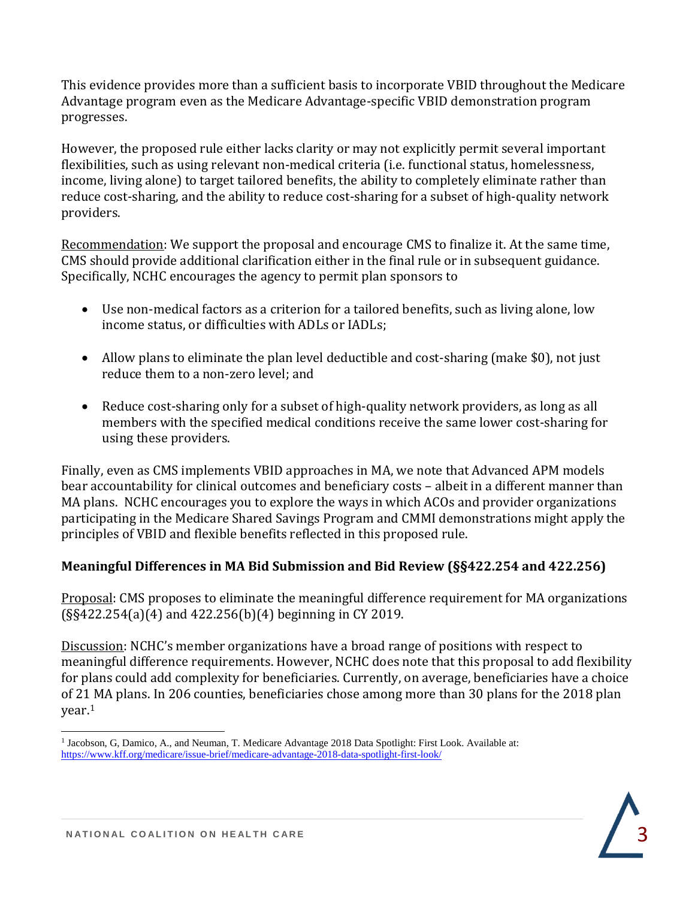This evidence provides more than a sufficient basis to incorporate VBID throughout the Medicare Advantage program even as the Medicare Advantage-specific VBID demonstration program progresses.

However, the proposed rule either lacks clarity or may not explicitly permit several important flexibilities, such as using relevant non-medical criteria (i.e. functional status, homelessness, income, living alone) to target tailored benefits, the ability to completely eliminate rather than reduce cost-sharing, and the ability to reduce cost-sharing for a subset of high-quality network providers.

Recommendation: We support the proposal and encourage CMS to finalize it. At the same time, CMS should provide additional clarification either in the final rule or in subsequent guidance. Specifically, NCHC encourages the agency to permit plan sponsors to

- Use non-medical factors as a criterion for a tailored benefits, such as living alone, low income status, or difficulties with ADLs or IADLs;
- Allow plans to eliminate the plan level deductible and cost-sharing (make \$0), not just reduce them to a non-zero level; and
- Reduce cost-sharing only for a subset of high-quality network providers, as long as all members with the specified medical conditions receive the same lower cost-sharing for using these providers.

Finally, even as CMS implements VBID approaches in MA, we note that Advanced APM models bear accountability for clinical outcomes and beneficiary costs – albeit in a different manner than MA plans. NCHC encourages you to explore the ways in which ACOs and provider organizations participating in the Medicare Shared Savings Program and CMMI demonstrations might apply the principles of VBID and flexible benefits reflected in this proposed rule.

# **Meaningful Differences in MA Bid Submission and Bid Review (§§422.254 and 422.256)**

Proposal: CMS proposes to eliminate the meaningful difference requirement for MA organizations (§§422.254(a)(4) and 422.256(b)(4) beginning in CY 2019.

Discussion: NCHC's member organizations have a broad range of positions with respect to meaningful difference requirements. However, NCHC does note that this proposal to add flexibility for plans could add complexity for beneficiaries. Currently, on average, beneficiaries have a choice of 21 MA plans. In 206 counties, beneficiaries chose among more than 30 plans for the 2018 plan year.<sup>1</sup>

 $\overline{\phantom{0}}$ <sup>1</sup> Jacobson, G, Damico, A., and Neuman, T. Medicare Advantage 2018 Data Spotlight: First Look. Available at: <https://www.kff.org/medicare/issue-brief/medicare-advantage-2018-data-spotlight-first-look/>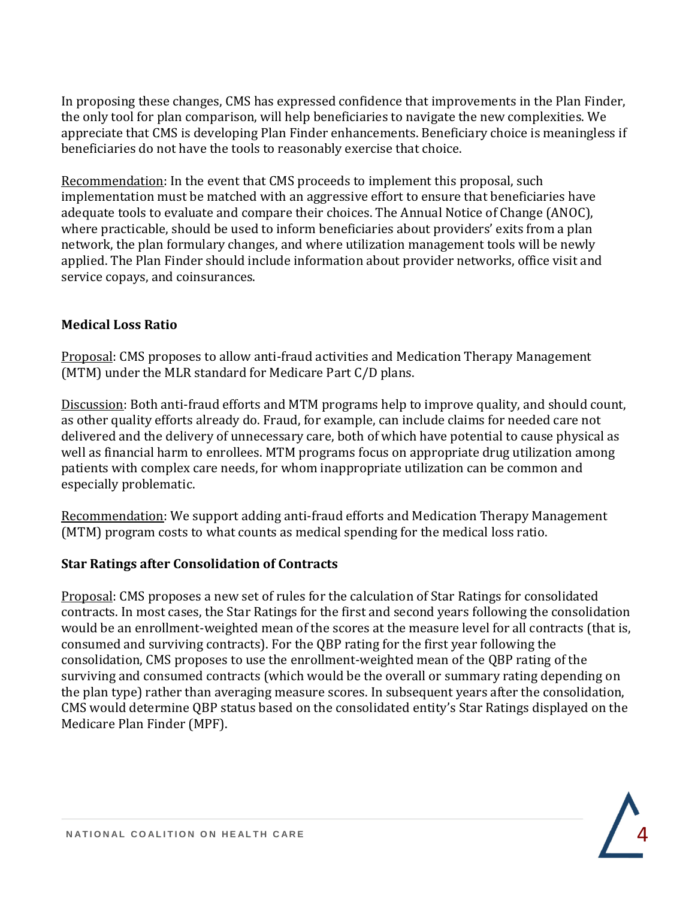In proposing these changes, CMS has expressed confidence that improvements in the Plan Finder, the only tool for plan comparison, will help beneficiaries to navigate the new complexities. We appreciate that CMS is developing Plan Finder enhancements. Beneficiary choice is meaningless if beneficiaries do not have the tools to reasonably exercise that choice.

Recommendation: In the event that CMS proceeds to implement this proposal, such implementation must be matched with an aggressive effort to ensure that beneficiaries have adequate tools to evaluate and compare their choices. The Annual Notice of Change (ANOC), where practicable, should be used to inform beneficiaries about providers' exits from a plan network, the plan formulary changes, and where utilization management tools will be newly applied. The Plan Finder should include information about provider networks, office visit and service copays, and coinsurances.

#### **Medical Loss Ratio**

Proposal: CMS proposes to allow anti-fraud activities and Medication Therapy Management (MTM) under the MLR standard for Medicare Part C/D plans.

Discussion: Both anti-fraud efforts and MTM programs help to improve quality, and should count, as other quality efforts already do. Fraud, for example, can include claims for needed care not delivered and the delivery of unnecessary care, both of which have potential to cause physical as well as financial harm to enrollees. MTM programs focus on appropriate drug utilization among patients with complex care needs, for whom inappropriate utilization can be common and especially problematic.

Recommendation: We support adding anti-fraud efforts and Medication Therapy Management (MTM) program costs to what counts as medical spending for the medical loss ratio.

## **Star Ratings after Consolidation of Contracts**

Proposal: CMS proposes a new set of rules for the calculation of Star Ratings for consolidated contracts. In most cases, the Star Ratings for the first and second years following the consolidation would be an enrollment-weighted mean of the scores at the measure level for all contracts (that is, consumed and surviving contracts). For the QBP rating for the first year following the consolidation, CMS proposes to use the enrollment-weighted mean of the QBP rating of the surviving and consumed contracts (which would be the overall or summary rating depending on the plan type) rather than averaging measure scores. In subsequent years after the consolidation, CMS would determine QBP status based on the consolidated entity's Star Ratings displayed on the Medicare Plan Finder (MPF).

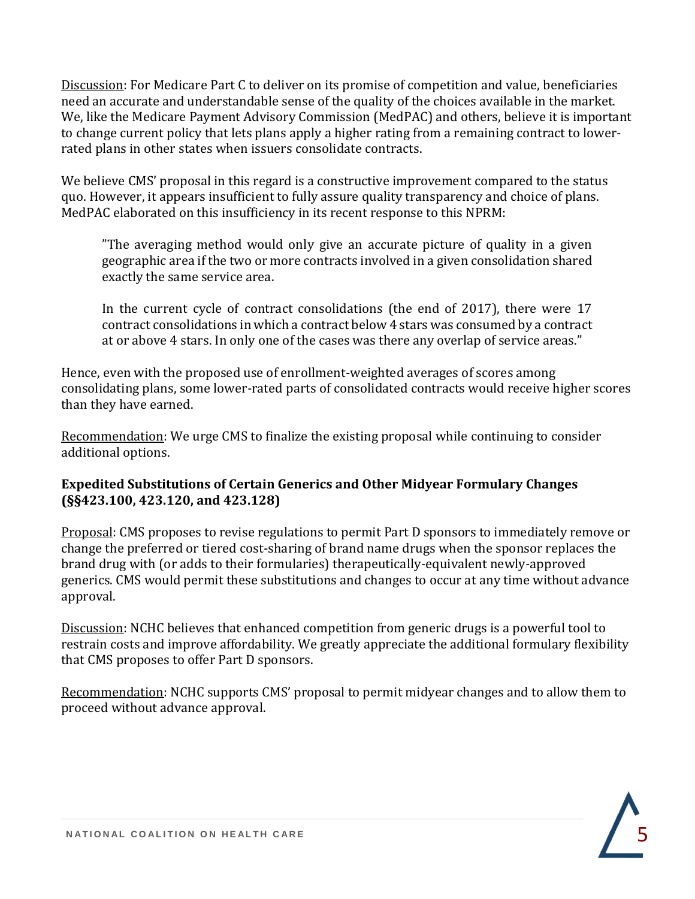Discussion: For Medicare Part C to deliver on its promise of competition and value, beneficiaries need an accurate and understandable sense of the quality of the choices available in the market. We, like the Medicare Payment Advisory Commission (MedPAC) and others, believe it is important to change current policy that lets plans apply a higher rating from a remaining contract to lowerrated plans in other states when issuers consolidate contracts.

We believe CMS' proposal in this regard is a constructive improvement compared to the status quo. However, it appears insufficient to fully assure quality transparency and choice of plans. MedPAC elaborated on this insufficiency in its recent response to this NPRM:

"The averaging method would only give an accurate picture of quality in a given geographic area if the two or more contracts involved in a given consolidation shared exactly the same service area.

In the current cycle of contract consolidations (the end of 2017), there were 17 contract consolidations in which a contract below 4 stars was consumed by a contract at or above 4 stars. In only one of the cases was there any overlap of service areas."

Hence, even with the proposed use of enrollment-weighted averages of scores among consolidating plans, some lower-rated parts of consolidated contracts would receive higher scores than they have earned.

Recommendation: We urge CMS to finalize the existing proposal while continuing to consider additional options.

## **Expedited Substitutions of Certain Generics and Other Midyear Formulary Changes (§§423.100, 423.120, and 423.128)**

Proposal: CMS proposes to revise regulations to permit Part D sponsors to immediately remove or change the preferred or tiered cost-sharing of brand name drugs when the sponsor replaces the brand drug with (or adds to their formularies) therapeutically-equivalent newly-approved generics. CMS would permit these substitutions and changes to occur at any time without advance approval.

Discussion: NCHC believes that enhanced competition from generic drugs is a powerful tool to restrain costs and improve affordability. We greatly appreciate the additional formulary flexibility that CMS proposes to offer Part D sponsors.

Recommendation: NCHC supports CMS' proposal to permit midyear changes and to allow them to proceed without advance approval.

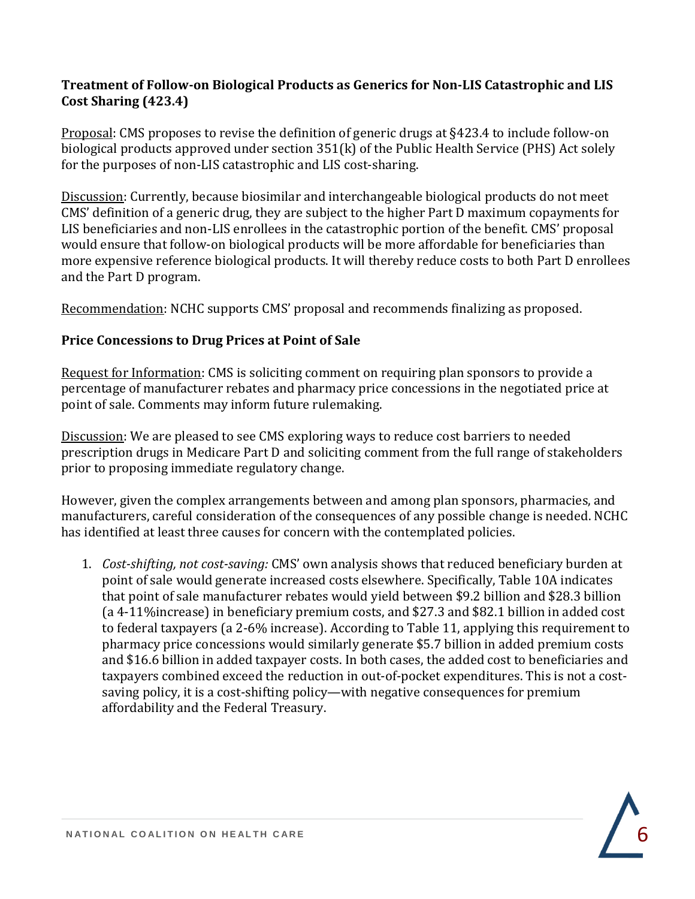### **Treatment of Follow-on Biological Products as Generics for Non-LIS Catastrophic and LIS Cost Sharing (423.4)**

Proposal: CMS proposes to revise the definition of generic drugs at §423.4 to include follow-on biological products approved under section 351(k) of the Public Health Service (PHS) Act solely for the purposes of non-LIS catastrophic and LIS cost-sharing.

Discussion: Currently, because biosimilar and interchangeable biological products do not meet CMS' definition of a generic drug, they are subject to the higher Part D maximum copayments for LIS beneficiaries and non-LIS enrollees in the catastrophic portion of the benefit. CMS' proposal would ensure that follow-on biological products will be more affordable for beneficiaries than more expensive reference biological products. It will thereby reduce costs to both Part D enrollees and the Part D program.

Recommendation: NCHC supports CMS' proposal and recommends finalizing as proposed.

#### **Price Concessions to Drug Prices at Point of Sale**

Request for Information: CMS is soliciting comment on requiring plan sponsors to provide a percentage of manufacturer rebates and pharmacy price concessions in the negotiated price at point of sale. Comments may inform future rulemaking.

Discussion: We are pleased to see CMS exploring ways to reduce cost barriers to needed prescription drugs in Medicare Part D and soliciting comment from the full range of stakeholders prior to proposing immediate regulatory change.

However, given the complex arrangements between and among plan sponsors, pharmacies, and manufacturers, careful consideration of the consequences of any possible change is needed. NCHC has identified at least three causes for concern with the contemplated policies.

1. *Cost-shifting, not cost-saving:* CMS' own analysis shows that reduced beneficiary burden at point of sale would generate increased costs elsewhere. Specifically, Table 10A indicates that point of sale manufacturer rebates would yield between \$9.2 billion and \$28.3 billion (a 4-11%increase) in beneficiary premium costs, and \$27.3 and \$82.1 billion in added cost to federal taxpayers (a 2-6% increase). According to Table 11, applying this requirement to pharmacy price concessions would similarly generate \$5.7 billion in added premium costs and \$16.6 billion in added taxpayer costs. In both cases, the added cost to beneficiaries and taxpayers combined exceed the reduction in out-of-pocket expenditures. This is not a costsaving policy, it is a cost-shifting policy—with negative consequences for premium affordability and the Federal Treasury.